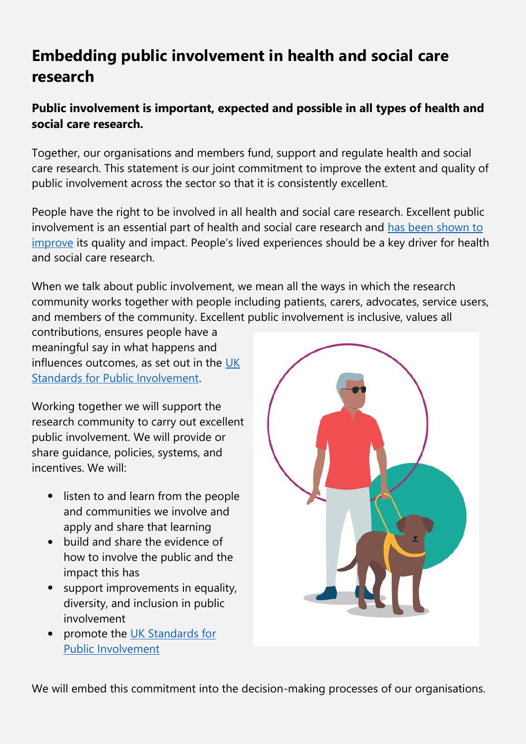## **Embedding public involvement in health and social care research**

## **Public involvement is important, expected and possible in all types of health and social care research.**

Together, our organisations and members fund, support and regulate health and social care research. This statement is our joint commitment to improve the extent and quality of public involvement across the sector so that it is consistently excellent.

People have the right to be involved in all health and social care research. Excellent public involvement is an essential part of health and social care research and [has been shown to](https://s3.eu-west-2.amazonaws.com/www.hra.nhs.uk/media/documents/impact-public-involvement-ethical-aspects-research-updated-2016.pdf)  [improve](https://s3.eu-west-2.amazonaws.com/www.hra.nhs.uk/media/documents/impact-public-involvement-ethical-aspects-research-updated-2016.pdf) its quality and impact. People's lived experiences should be a key driver for health and social care research.

When we talk about public involvement, we mean all the ways in which the research community works together with people including patients, carers, advocates, service users, and members of the community. Excellent public involvement is inclusive, values all

contributions, ensures people have a meaningful say in what happens and influences outcomes, as set out in the [UK](https://sites.google.com/nihr.ac.uk/pi-standards/home)  [Standards for Public Involvement.](https://sites.google.com/nihr.ac.uk/pi-standards/home)

Working together we will support the research community to carry out excellent public involvement. We will provide or share guidance, policies, systems, and incentives. We will:

- listen to and learn from the people and communities we involve and apply and share that learning
- build and share the evidence of how to involve the public and the impact this has
- support improvements in equality, diversity, and inclusion in public involvement
- promote the [UK Standards for](https://sites.google.com/nihr.ac.uk/pi-standards/home)  [Public Involvement](https://sites.google.com/nihr.ac.uk/pi-standards/home)



We will embed this commitment into the decision-making processes of our organisations.